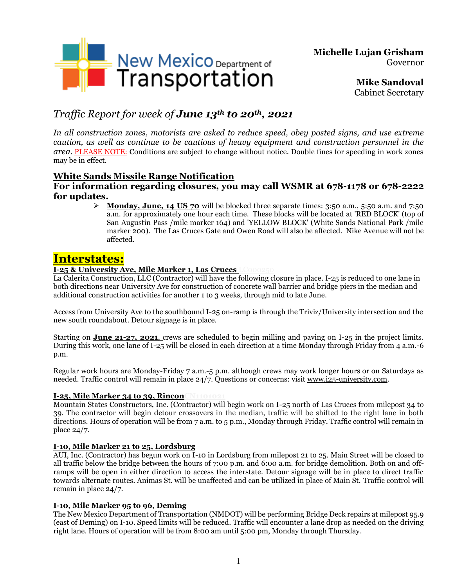

**Michelle Lujan Grisham** Governor

> **Mike Sandoval** Cabinet Secretary

# *Traffic Report for week of June 13th to 20th , 2021*

*In all construction zones, motorists are asked to reduce speed, obey posted signs, and use extreme caution, as well as continue to be cautious of heavy equipment and construction personnel in the area.* PLEASE NOTE: Conditions are subject to change without notice. Double fines for speeding in work zones may be in effect.

### **White Sands Missile Range Notification**

### **For information regarding closures, you may call WSMR at 678-1178 or 678-2222 for updates.**

➢ **Monday, June, 14 US 70** will be blocked three separate times: 3:50 a.m., 5:50 a.m. and 7:50 a.m. for approximately one hour each time. These blocks will be located at 'RED BLOCK' (top of San Augustin Pass /mile marker 164) and 'YELLOW BLOCK' (White Sands National Park /mile marker 200). The Las Cruces Gate and Owen Road will also be affected. Nike Avenue will not be affected.

# **Interstates:**

### **I-25 & University Ave, Mile Marker 1, Las Cruces**

La Calerita Construction, LLC (Contractor) will have the following closure in place. I-25 is reduced to one lane in both directions near University Ave for construction of concrete wall barrier and bridge piers in the median and additional construction activities for another 1 to 3 weeks, through mid to late June.

Access from University Ave to the southbound I-25 on-ramp is through the Triviz/University intersection and the new south roundabout. Detour signage is in place.

Starting on **June 21-27, 2021**, crews are scheduled to begin milling and paving on I-25 in the project limits. During this work, one lane of I-25 will be closed in each direction at a time Monday through Friday from 4 a.m.-6 p.m.

Regular work hours are Monday-Friday 7 a.m.-5 p.m. although crews may work longer hours or on Saturdays as needed. Traffic control will remain in place 24/7. Questions or concerns: visit [www.i25-university.com.](http://www.i25-university.com/)

### **I-25, Mile Marker 34 to 39, RinconCN1101021**

Mountain States Constructors, Inc. (Contractor) will begin work on I-25 north of Las Cruces from milepost 34 to 39. The contractor will begin detour crossovers in the median, traffic will be shifted to the right lane in both directions. Hours of operation will be from 7 a.m. to 5 p.m., Monday through Friday. Traffic control will remain in place 24/7.

### **I-10, Mile Marker 21 to 25, Lordsburg**

AUI, Inc. (Contractor) has begun work on I-10 in Lordsburg from milepost 21 to 25. Main Street will be closed to all traffic below the bridge between the hours of 7:00 p.m. and 6:00 a.m. for bridge demolition. Both on and offramps will be open in either direction to access the interstate. Detour signage will be in place to direct traffic towards alternate routes. Animas St. will be unaffected and can be utilized in place of Main St. Traffic control will remain in place 24/7.

### **I-10, Mile Marker 95 to 96, Deming**

The New Mexico Department of Transportation (NMDOT) will be performing Bridge Deck repairs at milepost 95.9 (east of Deming) on I-10. Speed limits will be reduced. Traffic will encounter a lane drop as needed on the driving right lane. Hours of operation will be from 8:00 am until 5:00 pm, Monday through Thursday.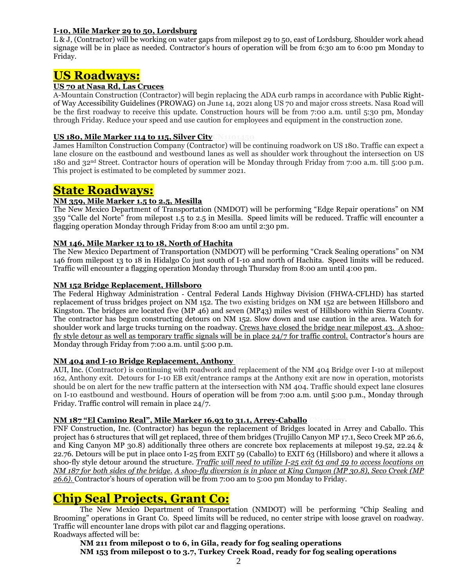### **I-10, Mile Marker 29 to 50, Lordsburg**

L & J, (Contractor) will be working on water gaps from milepost 29 to 50, east of Lordsburg. Shoulder work ahead signage will be in place as needed. Contractor's hours of operation will be from 6:30 am to 6:00 pm Monday to Friday.

## **US Roadways:**

### **US 70 at Nasa Rd, Las Cruces**

A-Mountain Construction (Contractor) will begin replacing the ADA curb ramps in accordance with Public Rightof Way Accessibility Guidelines (PROWAG) on June 14, 2021 along US 70 and major cross streets. Nasa Road will be the first roadway to receive this update. Construction hours will be from 7:00 a.m. until 5:30 pm, Monday through Friday. Reduce your speed and use caution for employees and equipment in the construction zone.

### **US 180, Mile Marker 114 to 115, Silver City**

James Hamilton Construction Company (Contractor) will be continuing roadwork on US 180. Traffic can expect a lane closure on the eastbound and westbound lanes as well as shoulder work throughout the intersection on US 180 and 32nd Street. Contractor hours of operation will be Monday through Friday from 7:00 a.m. till 5:00 p.m. This project is estimated to be completed by summer 2021.

### **State Roadways:**

### **NM 359, Mile Marker 1.5 to 2.5, Mesilla**

The New Mexico Department of Transportation (NMDOT) will be performing "Edge Repair operations" on NM 359 "Calle del Norte" from milepost 1.5 to 2.5 in Mesilla. Speed limits will be reduced. Traffic will encounter a flagging operation Monday through Friday from 8:00 am until 2:30 pm.

### **NM 146, Mile Marker 13 to 18, North of Hachita**

The New Mexico Department of Transportation (NMDOT) will be performing "Crack Sealing operations" on NM 146 from milepost 13 to 18 in Hidalgo Co just south of I-10 and north of Hachita. Speed limits will be reduced. Traffic will encounter a flagging operation Monday through Thursday from 8:00 am until 4:00 pm.

### **NM 152 Bridge Replacement, Hillsboro**

The Federal Highway Administration ‐ Central Federal Lands Highway Division (FHWA‐CFLHD) has started replacement of truss bridges project on NM 152. The two existing bridges on NM 152 are between Hillsboro and Kingston. The bridges are located five (MP 46) and seven (MP43) miles west of Hillsboro within Sierra County. The contractor has begun constructing detours on NM 152. Slow down and use caution in the area. Watch for shoulder work and large trucks turning on the roadway. Crews have closed the bridge near milepost 43. A shoofly style detour as well as temporary traffic signals will be in place 24/7 for traffic control. Contractor's hours are Monday through Friday from 7:00 a.m. until 5:00 p.m.

#### **NM 404 and I-10 Bridge Replacement, Anthony E100202**

AUI, Inc. (Contractor) is continuing with roadwork and replacement of the NM 404 Bridge over I-10 at milepost 162, Anthony exit. Detours for I-10 EB exit/entrance ramps at the Anthony exit are now in operation, motorists should be on alert for the new traffic pattern at the intersection with NM 404. Traffic should expect lane closures on I-10 eastbound and westbound. Hours of operation will be from 7:00 a.m. until 5:00 p.m., Monday through Friday. Traffic control will remain in place 24/7.

#### **NM 187** "El Camino Real", Mile Marker 16.93 to 31.1, Arrey-Caballo

FNF Construction, Inc. (Contractor) has begun the replacement of Bridges located in Arrey and Caballo. This project has 6 structures that will get replaced, three of them bridges (Trujillo Canyon MP 17.1, Seco Creek MP 26.6, and King Canyon MP 30.8) additionally three others are concrete box replacements at milepost 19.52, 22.24 & 22.76. Detours will be put in place onto I-25 from EXIT 59 (Caballo) to EXIT 63 (Hillsboro) and where it allows a shoo-fly style detour around the structure*. Traffic will need to utilize I-25 exit 63 and 59 to access locations on NM 187 for both sides of the bridge. A shoo-fly diversion is in place at King Canyon (MP 30.8), Seco Creek (MP 26.6).* Contractor's hours of operation will be from 7:00 am to 5:00 pm Monday to Friday.

## **Chip Seal Projects, Grant Co:**

The New Mexico Department of Transportation (NMDOT) will be performing "Chip Sealing and Brooming" operations in Grant Co. Speed limits will be reduced, no center stripe with loose gravel on roadway. Traffic will encounter lane drops with pilot car and flagging operations. Roadways affected will be:

**NM 211 from milepost 0 to 6, in Gila, ready for fog sealing operations**

**NM 153 from milepost 0 to 3.7, Turkey Creek Road, ready for fog sealing operations**